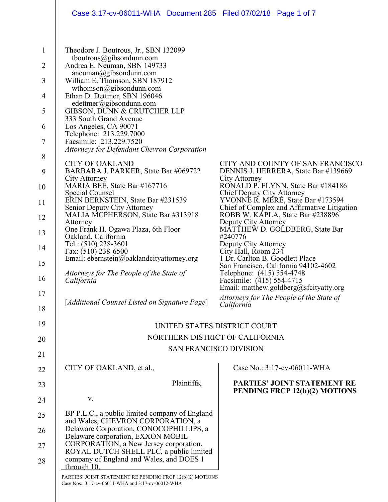|                | Case 3:17-cv-06011-WHA Document 285 Filed 07/02/18 Page 1 of 7                                                  |                                                                                             |
|----------------|-----------------------------------------------------------------------------------------------------------------|---------------------------------------------------------------------------------------------|
|                |                                                                                                                 |                                                                                             |
| $\mathbf{1}$   | Theodore J. Boutrous, Jr., SBN 132099<br>tboutrous@gibsondunn.com                                               |                                                                                             |
| $\overline{2}$ | Andrea E. Neuman, SBN 149733<br>aneuman@gibsondunn.com                                                          |                                                                                             |
| 3              | William E. Thomson, SBN 187912<br>wthomson@gibsondunn.com                                                       |                                                                                             |
| 4              | Ethan D. Dettmer, SBN 196046                                                                                    |                                                                                             |
| 5              | edettmer@gibsondunn.com<br>GIBSON, DUNN & CRUTCHER LLP<br>333 South Grand Avenue                                |                                                                                             |
| 6              | Los Angeles, CA 90071                                                                                           |                                                                                             |
| 7              | Telephone: 213.229.7000<br>Facsimile: 213.229.7520                                                              |                                                                                             |
|                | <b>Attorneys for Defendant Chevron Corporation</b>                                                              |                                                                                             |
| 8              | <b>CITY OF OAKLAND</b>                                                                                          | CITY AND COUNTY OF SAN FRANCISCO                                                            |
| 9              | BARBARA J. PARKER, State Bar #069722<br>City Attorney<br>MÁRIA BEÉ, State Bar #167716                           | DENNIS J. HERRERA, State Bar #139669<br>City Attorney<br>RONALD P. FLYNN, State Bar #184186 |
| 10             | <b>Special Counsel</b>                                                                                          | Chief Deputy City Attorney                                                                  |
| 11             | ERIN BERNSTEIN, State Bar #231539<br>Senior Deputy City Attorney                                                | YVONNE R. MERE, State Bar #173594<br>Chief of Complex and Affirmative Litigation            |
| 12             | MALIA MCPHERSON, State Bar #313918<br>Attorney                                                                  | ROBB W. KAPLA, State Bar #238896<br>Deputy City Attorney                                    |
| 13             | One Frank H. Ogawa Plaza, 6th Floor                                                                             | MĀTTHEW D. GOLDBERG, State Bar                                                              |
|                | Oakland, California<br>Tel.: (510) 238-3601                                                                     | #240776<br>Deputy City Attorney                                                             |
| 14             | Fax: (510) 238-6500                                                                                             | City Hall, Room 234<br>1 Dr. Carlton B. Goodlett Place                                      |
| 15             | Email: ebernstein@oaklandcityattorney.org                                                                       | San Francisco, California 94102-4602                                                        |
| 16             | Attorneys for The People of the State of<br>California                                                          | Telephone: (415) 554-4748<br>Facsimile: (415) 554-4715                                      |
| 17             |                                                                                                                 | Email: matthew.goldberg@sfcityatty.org                                                      |
| 18             | [Additional Counsel Listed on Signature Page]                                                                   | Attorneys for The People of the State of<br>California                                      |
| 19             | UNITED STATES DISTRICT COURT                                                                                    |                                                                                             |
| 20             | NORTHERN DISTRICT OF CALIFORNIA                                                                                 |                                                                                             |
|                | <b>SAN FRANCISCO DIVISION</b>                                                                                   |                                                                                             |
| 21             |                                                                                                                 |                                                                                             |
| 22             | CITY OF OAKLAND, et al.,                                                                                        | Case No.: 3:17-cv-06011-WHA                                                                 |
| 23             | Plaintiffs,                                                                                                     | <b>PARTIES' JOINT STATEMENT RE</b><br>PENDING FRCP 12(b)(2) MOTIONS                         |
| 24             | V.                                                                                                              |                                                                                             |
| 25             | BP P.L.C., a public limited company of England<br>and Wales, CHEVRON CORPORATION, a                             |                                                                                             |
| 26             | Delaware Corporation, CONOCOPHILLIPS, a                                                                         |                                                                                             |
| 27             | Delaware corporation, EXXON MOBIL<br>CORPORATION, a New Jersey corporation,                                     |                                                                                             |
|                | ROYAL DUTCH SHELL PLC, a public limited<br>company of England and Wales, and DOES 1                             |                                                                                             |
| 28             | through 10,                                                                                                     |                                                                                             |
|                | PARTIES' JOINT STATEMENT RE PENDING FRCP 12(b)(2) MOTIONS<br>Case Nos.: 3:17-cv-06011-WHA and 3:17-cv-06012-WHA |                                                                                             |

 $\parallel$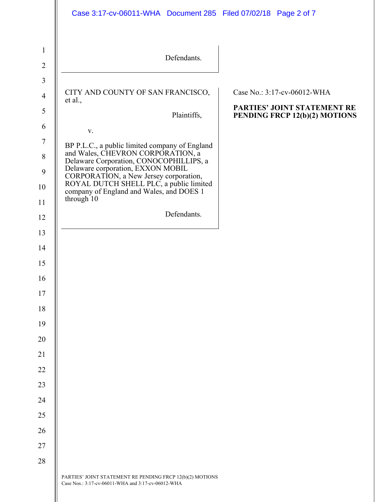# Case 3:17-cv-06011-WHA Document 285 Filed 07/02/18 Page 2 of 7

 $\mathsf{II}$ 

| $\mathbf{1}$                     | Defendants.                                                                                                       |                                                              |
|----------------------------------|-------------------------------------------------------------------------------------------------------------------|--------------------------------------------------------------|
| $\overline{2}$                   |                                                                                                                   |                                                              |
| $\mathfrak{Z}$<br>$\overline{4}$ | CITY AND COUNTY OF SAN FRANCISCO,<br>et al.,                                                                      | Case No.: 3:17-cv-06012-WHA                                  |
| $\mathfrak{S}$                   | Plaintiffs,                                                                                                       | PARTIES' JOINT STATEMENT RE<br>PENDING FRCP 12(b)(2) MOTIONS |
| 6                                | $\mathbf{V}$ .                                                                                                    |                                                              |
| $\tau$                           | BP P.L.C., a public limited company of England                                                                    |                                                              |
| $8\,$                            | and Wales, CHEVRON CORPORATION, a<br>Delaware Corporation, CONOCOPHILLIPS, a<br>Delaware corporation, EXXON MOBIL |                                                              |
| $\mathbf{9}$                     | CORPORATION, a New Jersey corporation,<br>ROYAL DUTCH SHELL PLC, a public limited                                 |                                                              |
| 10<br>11                         | company of England and Wales, and DOES 1<br>through 10                                                            |                                                              |
| 12                               | Defendants.                                                                                                       |                                                              |
| 13                               |                                                                                                                   |                                                              |
| 14                               |                                                                                                                   |                                                              |
| 15                               |                                                                                                                   |                                                              |
| 16                               |                                                                                                                   |                                                              |
| 17                               |                                                                                                                   |                                                              |
| 18                               |                                                                                                                   |                                                              |
| 19                               |                                                                                                                   |                                                              |
| 20                               |                                                                                                                   |                                                              |
| 21                               |                                                                                                                   |                                                              |
| 22                               |                                                                                                                   |                                                              |
| 23                               |                                                                                                                   |                                                              |
| 24                               |                                                                                                                   |                                                              |
| 25                               |                                                                                                                   |                                                              |
| 26                               |                                                                                                                   |                                                              |
| 27                               |                                                                                                                   |                                                              |
| 28                               |                                                                                                                   |                                                              |
|                                  | PARTIES' JOINT STATEMENT RE PENDING FRCP 12(b)(2) MOTIONS<br>Case Nos.: 3:17-cv-06011-WHA and 3:17-cv-06012-WHA   |                                                              |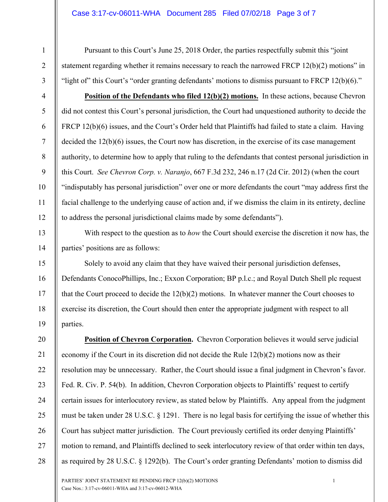1

2

3

4

5

6

7

8

9

10

11

12

13

14

15

16

17

18

19

21

Pursuant to this Court's June 25, 2018 Order, the parties respectfully submit this "joint statement regarding whether it remains necessary to reach the narrowed FRCP 12(b)(2) motions" in "light of" this Court's "order granting defendants' motions to dismiss pursuant to FRCP 12(b)(6)."

**Position of the Defendants who filed 12(b)(2) motions.** In these actions, because Chevron did not contest this Court's personal jurisdiction, the Court had unquestioned authority to decide the FRCP 12(b)(6) issues, and the Court's Order held that Plaintiffs had failed to state a claim. Having decided the 12(b)(6) issues, the Court now has discretion, in the exercise of its case management authority, to determine how to apply that ruling to the defendants that contest personal jurisdiction in this Court. *See Chevron Corp. v. Naranjo*, 667 F.3d 232, 246 n.17 (2d Cir. 2012) (when the court "indisputably has personal jurisdiction" over one or more defendants the court "may address first the facial challenge to the underlying cause of action and, if we dismiss the claim in its entirety, decline to address the personal jurisdictional claims made by some defendants").

With respect to the question as to *how* the Court should exercise the discretion it now has, the parties' positions are as follows:

Solely to avoid any claim that they have waived their personal jurisdiction defenses, Defendants ConocoPhillips, Inc.; Exxon Corporation; BP p.l.c.; and Royal Dutch Shell plc request that the Court proceed to decide the 12(b)(2) motions. In whatever manner the Court chooses to exercise its discretion, the Court should then enter the appropriate judgment with respect to all parties.

20 22 23 24 25 26 27 28 **Position of Chevron Corporation.** Chevron Corporation believes it would serve judicial economy if the Court in its discretion did not decide the Rule 12(b)(2) motions now as their resolution may be unnecessary. Rather, the Court should issue a final judgment in Chevron's favor. Fed. R. Civ. P. 54(b). In addition, Chevron Corporation objects to Plaintiffs' request to certify certain issues for interlocutory review, as stated below by Plaintiffs. Any appeal from the judgment must be taken under 28 U.S.C. § 1291. There is no legal basis for certifying the issue of whether this Court has subject matter jurisdiction. The Court previously certified its order denying Plaintiffs' motion to remand, and Plaintiffs declined to seek interlocutory review of that order within ten days, as required by 28 U.S.C. § 1292(b). The Court's order granting Defendants' motion to dismiss did

PARTIES' JOINT STATEMENT RE PENDING FRCP 12(b)(2) MOTIONS 1 Case Nos.: 3:17-cv-06011-WHA and 3:17-cv-06012-WHA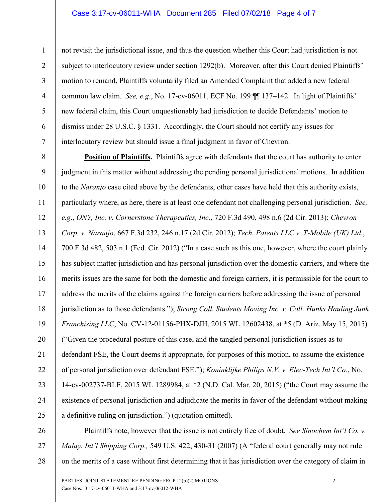### Case 3:17-cv-06011-WHA Document 285 Filed 07/02/18 Page 4 of 7

not revisit the jurisdictional issue, and thus the question whether this Court had jurisdiction is not subject to interlocutory review under section 1292(b). Moreover, after this Court denied Plaintiffs' motion to remand, Plaintiffs voluntarily filed an Amended Complaint that added a new federal common law claim. *See, e.g.*, No. 17-cv-06011, ECF No. 199 ¶¶ 137–142. In light of Plaintiffs' new federal claim, this Court unquestionably had jurisdiction to decide Defendants' motion to dismiss under 28 U.S.C. § 1331. Accordingly, the Court should not certify any issues for interlocutory review but should issue a final judgment in favor of Chevron.

8 9 10 11 12 13 14 15 16 17 18 19 20 21 22 23 24 25 **Position of Plaintiffs.** Plaintiffs agree with defendants that the court has authority to enter judgment in this matter without addressing the pending personal jurisdictional motions. In addition to the *Naranjo* case cited above by the defendants, other cases have held that this authority exists, particularly where, as here, there is at least one defendant not challenging personal jurisdiction. *See, e.g*., *ONY, Inc. v. Cornerstone Therapeutics, Inc.*, 720 F.3d 490, 498 n.6 (2d Cir. 2013); *Chevron Corp. v. Naranjo*, 667 F.3d 232, 246 n.17 (2d Cir. 2012); *Tech. Patents LLC v. T-Mobile (UK) Ltd.*, 700 F.3d 482, 503 n.1 (Fed. Cir. 2012) ("In a case such as this one, however, where the court plainly has subject matter jurisdiction and has personal jurisdiction over the domestic carriers, and where the merits issues are the same for both the domestic and foreign carriers, it is permissible for the court to address the merits of the claims against the foreign carriers before addressing the issue of personal jurisdiction as to those defendants."); *Strong Coll. Students Moving Inc. v. Coll. Hunks Hauling Junk Franchising LLC*, No. CV-12-01156-PHX-DJH, 2015 WL 12602438, at \*5 (D. Ariz. May 15, 2015) ("Given the procedural posture of this case, and the tangled personal jurisdiction issues as to defendant FSE, the Court deems it appropriate, for purposes of this motion, to assume the existence of personal jurisdiction over defendant FSE."); *Koninklijke Philips N.V. v. Elec-Tech Int'l Co.*, No. 14-cv-002737-BLF, 2015 WL 1289984, at \*2 (N.D. Cal. Mar. 20, 2015) ("the Court may assume the existence of personal jurisdiction and adjudicate the merits in favor of the defendant without making a definitive ruling on jurisdiction.") (quotation omitted).

26

1

2

3

4

5

6

7

27 28 Plaintiffs note, however that the issue is not entirely free of doubt. *See Sinochem Int'l Co. v. Malay. Int'l Shipping Corp.,* 549 U.S. 422, 430-31 (2007) (A "federal court generally may not rule on the merits of a case without first determining that it has jurisdiction over the category of claim in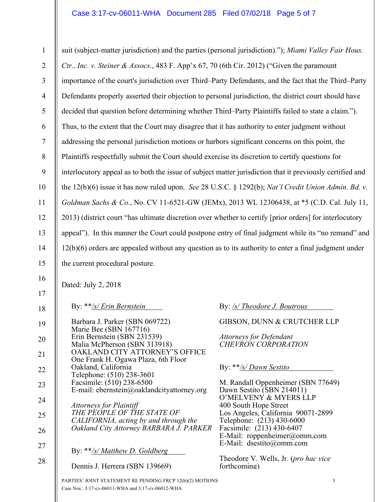### Case 3:17-cv-06011-WHA Document 285 Filed 07/02/18 Page 5 of 7

1 2 3 4 5 6 7 8 9 10 11 12 13 14 15 16 17 suit (subject-matter jurisdiction) and the parties (personal jurisdiction)."); *Miami Valley Fair Hous. Ctr., Inc. v. Steiner & Assocs.*, 483 F. App'x 67, 70 (6th Cir. 2012) ("Given the paramount importance of the court's jurisdiction over Third–Party Defendants, and the fact that the Third–Party Defendants properly asserted their objection to personal jurisdiction, the district court should have decided that question before determining whether Third–Party Plaintiffs failed to state a claim."). Thus, to the extent that the Court may disagree that it has authority to enter judgment without addressing the personal jurisdiction motions or harbors significant concerns on this point, the Plaintiffs respectfully submit the Court should exercise its discretion to certify questions for interlocutory appeal as to both the issue of subject matter jurisdiction that it previously certified and the 12(b)(6) issue it has now ruled upon. *See* 28 U.S.C. § 1292(b); *Nat'l Credit Union Admin. Bd. v. Goldman Sachs & Co.*, No. CV 11-6521-GW (JEMx), 2013 WL 12306438, at \*5 (C.D. Cal. July 11, 2013) (district court "has ultimate discretion over whether to certify [prior orders] for interlocutory appeal"). In this manner the Court could postpone entry of final judgment while its "no remand" and 12(b)(6) orders are appealed without any question as to its authority to enter a final judgment under the current procedural posture. Dated: July 2, 2018

PARTIES' JOINT STATEMENT RE PENDING FRCP 12(b)(2) MOTIONS 3 18 19 20 21 22 23 24 25 26 27 28 By: \*\**/s/ Erin Bernstein* Barbara J. Parker (SBN 069722) Marie Bee (SBN 167716) Erin Bernstein (SBN 231539) Malia McPherson (SBN 313918) OAKLAND CITY ATTORNEY'S OFFICE One Frank H. Ogawa Plaza, 6th Floor Oakland, California Telephone: (510) 238-3601 Facsimile: (510) 238-6500 E-mail: ebernstein@oaklandcityattorney.org *Attorneys for Plaintiff THE PEOPLE OF THE STATE OF CALIFORNIA, acting by and through the Oakland City Attorney BARBARA J. PARKER* By: \*\**/s/ Matthew D. Goldberg* Dennis J. Herrera (SBN 139669) By: */s/ Theodore J. Boutrous*  GIBSON, DUNN & CRUTCHER LLP *Attorneys for Defendant CHEVRON CORPORATION*  By: \*\**/s/ Dawn Sestito* M. Randall Oppenheimer (SBN 77649) Dawn Sestito (SBN 214011) O'MELVENY & MYERS LLP 400 South Hope Street Los Angeles, California 90071-2899 Telephone: (213) 430-6000 Facsimile: (213) 430-6407 E-Mail: roppenheimer@omm.com E-Mail: dsestito@omm.com Theodore V. Wells, Jr. (*pro hac vice* forthcoming)

Case Nos.: 3:17-cv-06011-WHA and 3:17-cv-06012-WHA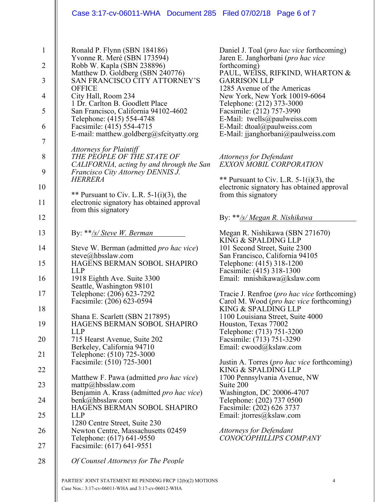|                                                                 | Case 3:17-cv-06011-WHA Document 285 Filed 07/02/18 Page 6 of 7                                                                                                                                                                                                                                                                              |                                                                                                                                                                                                                                                                                                                                                            |
|-----------------------------------------------------------------|---------------------------------------------------------------------------------------------------------------------------------------------------------------------------------------------------------------------------------------------------------------------------------------------------------------------------------------------|------------------------------------------------------------------------------------------------------------------------------------------------------------------------------------------------------------------------------------------------------------------------------------------------------------------------------------------------------------|
| $\mathbf{1}$<br>$\overline{2}$<br>3<br>$\overline{4}$<br>5<br>6 | Ronald P. Flynn (SBN 184186)<br>Yvonne R. Meré (SBN 173594)<br>Robb W. Kapla (SBN 238896)<br>Matthew D. Goldberg (SBN 240776)<br>SAN FRANCISCO CITY ATTORNEY'S<br><b>OFFICE</b><br>City Hall, Room 234<br>1 Dr. Carlton B. Goodlett Place<br>San Francisco, California 94102-4602<br>Telephone: (415) 554-4748<br>Facsimile: (415) 554-4715 | Daniel J. Toal (pro hac vice forthcoming)<br>Jaren E. Janghorbani ( <i>pro hac vice</i><br>forthcoming)<br>PAUL, WEISS, RIFKIND, WHARTON &<br><b>GARRISON LLP</b><br>1285 Avenue of the Americas<br>New York, New York 10019-6064<br>Telephone: (212) 373-3000<br>Facsimile: (212) 757-3990<br>E-Mail: twells@paulweiss.com<br>E-Mail: dtoal@paulweiss.com |
| $\tau$<br>8                                                     | E-mail: matthew.goldberg@sfcityatty.org<br><b>Attorneys for Plaintiff</b><br>THE PEOPLE OF THE STATE OF                                                                                                                                                                                                                                     | E-Mail: jjanghorbani@paulweiss.com<br><b>Attorneys for Defendant</b>                                                                                                                                                                                                                                                                                       |
| 9                                                               | CALIFORNIA, acting by and through the San<br>Francisco City Attorney DENNIS J.<br><b>HERRERA</b>                                                                                                                                                                                                                                            | EXXON MOBIL CORPORATION<br>** Pursuant to Civ. L.R. $5-1(i)(3)$ , the                                                                                                                                                                                                                                                                                      |
| 10<br>11                                                        | ** Pursuant to Civ. L.R. $5-1(i)(3)$ , the<br>electronic signatory has obtained approval<br>from this signatory                                                                                                                                                                                                                             | electronic signatory has obtained approval<br>from this signatory                                                                                                                                                                                                                                                                                          |
| 12                                                              |                                                                                                                                                                                                                                                                                                                                             | By: **/s/ Megan R. Nishikawa                                                                                                                                                                                                                                                                                                                               |
| 13                                                              | By: **/s/ Steve W. Berman                                                                                                                                                                                                                                                                                                                   | Megan R. Nishikawa (SBN 271670)<br>KING & SPALDING LLP                                                                                                                                                                                                                                                                                                     |
| 14                                                              | Steve W. Berman (admitted <i>pro hac vice</i> )<br>steve@hbsslaw.com                                                                                                                                                                                                                                                                        | 101 Second Street, Suite 2300<br>San Francisco, California 94105                                                                                                                                                                                                                                                                                           |
| 15                                                              | HAGENS BERMAN SOBOL SHAPIRO<br><b>LLP</b>                                                                                                                                                                                                                                                                                                   | Telephone: (415) 318-1200<br>Facsimile: (415) 318-1300                                                                                                                                                                                                                                                                                                     |
| 16                                                              | 1918 Eighth Ave. Suite 3300<br>Seattle, Washington 98101                                                                                                                                                                                                                                                                                    | Email: mnishikawa@kslaw.com                                                                                                                                                                                                                                                                                                                                |
| 17                                                              | Telephone: (206) 623-7292<br>Facsimile: (206) 623-0594                                                                                                                                                                                                                                                                                      | Tracie J. Renfroe ( <i>pro hac vice</i> forthcoming)<br>Carol M. Wood ( <i>pro hac vice</i> forthcoming)                                                                                                                                                                                                                                                   |
| 18                                                              | Shana E. Scarlett (SBN 217895)                                                                                                                                                                                                                                                                                                              | KING & SPALDING LLP<br>1100 Louisiana Street, Suite 4000                                                                                                                                                                                                                                                                                                   |
| 19<br>20                                                        | HAGENS BERMAN SOBOL SHAPIRO<br><b>LLP</b><br>715 Hearst Avenue, Suite 202                                                                                                                                                                                                                                                                   | Houston, Texas 77002<br>Telephone: (713) 751-3200<br>Facsimile: (713) 751-3290                                                                                                                                                                                                                                                                             |
| 21                                                              | Berkeley, California 94710<br>Telephone: (510) 725-3000                                                                                                                                                                                                                                                                                     | Email: cwood@kslaw.com                                                                                                                                                                                                                                                                                                                                     |
| 22                                                              | Facsimile: (510) 725-3001                                                                                                                                                                                                                                                                                                                   | Justin A. Torres ( <i>pro hac vice</i> forthcoming)<br>KING & SPALDING LLP                                                                                                                                                                                                                                                                                 |
| 23                                                              | Matthew F. Pawa (admitted <i>pro hac vice</i> )<br>$\text{mattp}(a)$ hbsslaw.com                                                                                                                                                                                                                                                            | 1700 Pennsylvania Avenue, NW<br>Suite 200                                                                                                                                                                                                                                                                                                                  |
| 24                                                              | Benjamin A. Krass (admitted pro hac vice)<br>benk@hbsslaw.com                                                                                                                                                                                                                                                                               | Washington, DC 20006-4707<br>Telephone: (202) 737 0500                                                                                                                                                                                                                                                                                                     |
| 25                                                              | HAGENS BERMAN SOBOL SHAPIRO<br><b>LLP</b>                                                                                                                                                                                                                                                                                                   | Facsimile: (202) 626 3737<br>Email: jtorres@kslaw.com                                                                                                                                                                                                                                                                                                      |
| 26                                                              | 1280 Centre Street, Suite 230<br>Newton Centre, Massachusetts 02459                                                                                                                                                                                                                                                                         | <b>Attorneys for Defendant</b>                                                                                                                                                                                                                                                                                                                             |
| 27                                                              | Telephone: (617) 641-9550<br>Facsimile: (617) 641-9551                                                                                                                                                                                                                                                                                      | CONOCOPHILLIPS COMPANY                                                                                                                                                                                                                                                                                                                                     |
| 28                                                              | Of Counsel Attorneys for The People                                                                                                                                                                                                                                                                                                         |                                                                                                                                                                                                                                                                                                                                                            |
|                                                                 |                                                                                                                                                                                                                                                                                                                                             |                                                                                                                                                                                                                                                                                                                                                            |

PARTIES' JOINT STATEMENT RE PENDING FRCP 12(b)(2) MOTIONS 4 Case Nos.: 3:17-cv-06011-WHA and 3:17-cv-06012-WHA